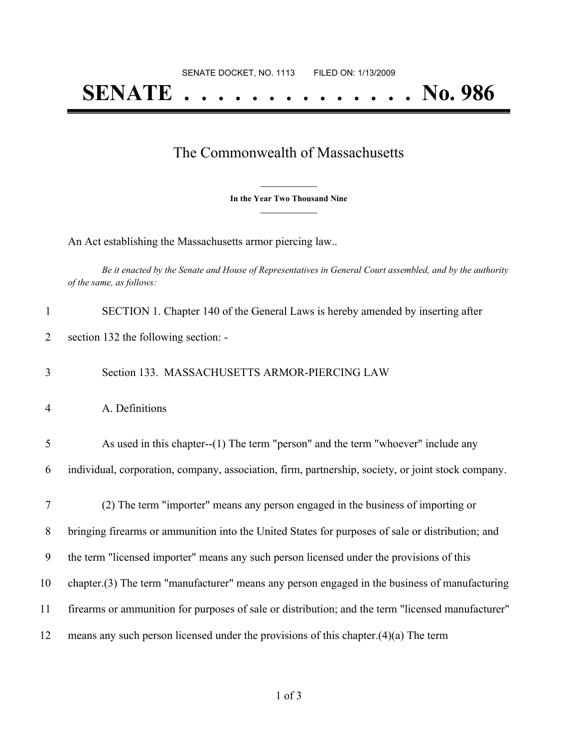## **SENATE . . . . . . . . . . . . . . No. 986**

## The Commonwealth of Massachusetts

**\_\_\_\_\_\_\_\_\_\_\_\_\_\_\_ In the Year Two Thousand Nine \_\_\_\_\_\_\_\_\_\_\_\_\_\_\_**

An Act establishing the Massachusetts armor piercing law..

Be it enacted by the Senate and House of Representatives in General Court assembled, and by the authority *of the same, as follows:*

| $\mathbf{1}$   | SECTION 1. Chapter 140 of the General Laws is hereby amended by inserting after                    |
|----------------|----------------------------------------------------------------------------------------------------|
| $\overline{2}$ | section 132 the following section: -                                                               |
| 3              | Section 133. MASSACHUSETTS ARMOR-PIERCING LAW                                                      |
| $\overline{4}$ | A. Definitions                                                                                     |
| 5              | As used in this chapter--(1) The term "person" and the term "whoever" include any                  |
| 6              | individual, corporation, company, association, firm, partnership, society, or joint stock company. |
| 7              | (2) The term "importer" means any person engaged in the business of importing or                   |
| 8              | bringing firearms or ammunition into the United States for purposes of sale or distribution; and   |
| 9              | the term "licensed importer" means any such person licensed under the provisions of this           |
| 10             | chapter.(3) The term "manufacturer" means any person engaged in the business of manufacturing      |
| 11             | firearms or ammunition for purposes of sale or distribution; and the term "licensed manufacturer"  |
| 12             | means any such person licensed under the provisions of this chapter. $(4)(a)$ The term             |
|                |                                                                                                    |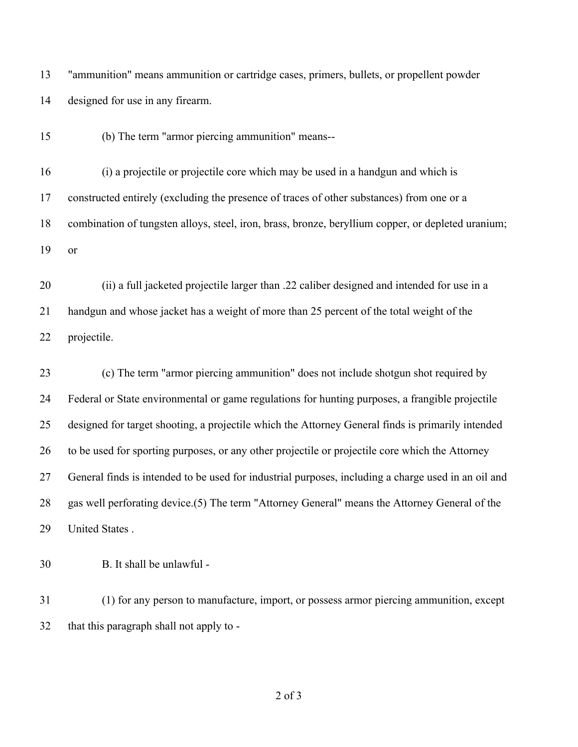"ammunition" means ammunition or cartridge cases, primers, bullets, or propellent powder designed for use in any firearm.

(b) The term "armor piercing ammunition" means--

 (i) a projectile or projectile core which may be used in a handgun and which is constructed entirely (excluding the presence of traces of other substances) from one or a combination of tungsten alloys, steel, iron, brass, bronze, beryllium copper, or depleted uranium; or

 (ii) a full jacketed projectile larger than .22 caliber designed and intended for use in a handgun and whose jacket has a weight of more than 25 percent of the total weight of the projectile.

 (c) The term "armor piercing ammunition" does not include shotgun shot required by Federal or State environmental or game regulations for hunting purposes, a frangible projectile designed for target shooting, a projectile which the Attorney General finds is primarily intended to be used for sporting purposes, or any other projectile or projectile core which the Attorney General finds is intended to be used for industrial purposes, including a charge used in an oil and gas well perforating device.(5) The term "Attorney General" means the Attorney General of the United States .

B. It shall be unlawful -

 (1) for any person to manufacture, import, or possess armor piercing ammunition, except that this paragraph shall not apply to -

of 3